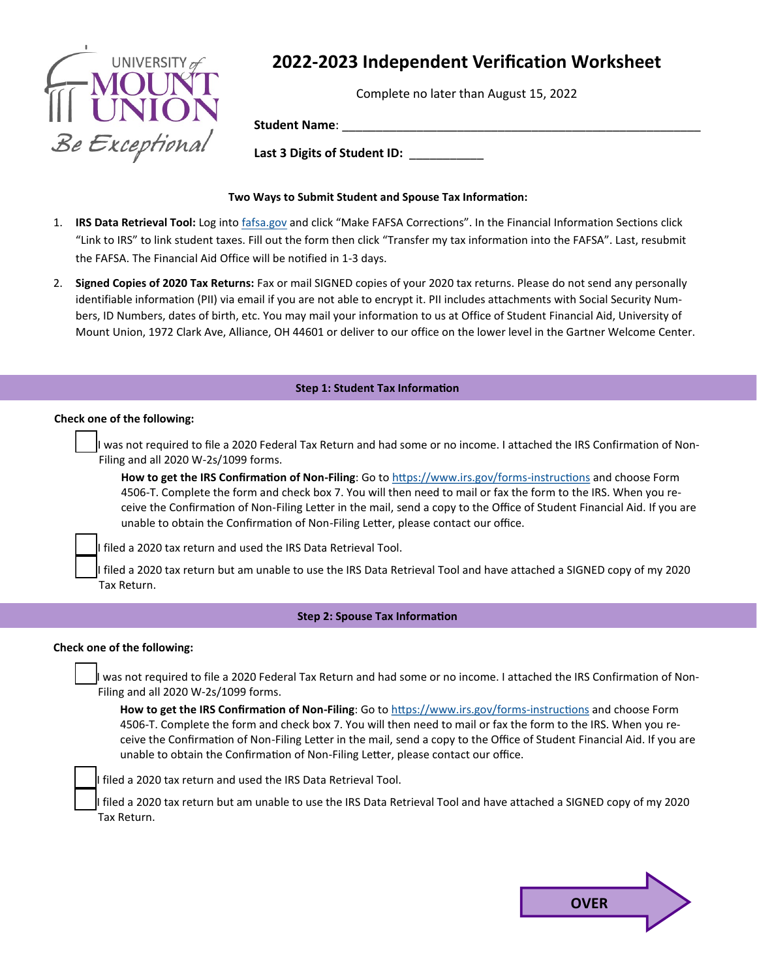

# **2022-2023 Independent Verification Worksheet**

Complete no later than August 15, 2022

**Student Name**: \_\_\_\_\_\_\_\_\_\_\_\_\_\_\_\_\_\_\_\_\_\_\_\_\_\_\_\_\_\_\_\_\_\_\_\_\_\_\_\_\_\_\_\_\_\_\_\_\_\_\_\_\_

**Last 3 Digits of Student ID:** \_\_\_\_\_\_\_\_\_\_\_

## **Two Ways to Submit Student and Spouse Tax Information:**

- 1. **IRS Data Retrieval Tool:** Log into [fafsa.gov](https://studentaid.ed.gov/sa/fafsa) and click "Make FAFSA Corrections". In the Financial Information Sections click "Link to IRS" to link student taxes. Fill out the form then click "Transfer my tax information into the FAFSA". Last, resubmit the FAFSA. The Financial Aid Office will be notified in 1-3 days.
- 2. **Signed Copies of 2020 Tax Returns:** Fax or mail SIGNED copies of your 2020 tax returns. Please do not send any personally identifiable information (PII) via email if you are not able to encrypt it. PII includes attachments with Social Security Numbers, ID Numbers, dates of birth, etc. You may mail your information to us at Office of Student Financial Aid, University of Mount Union, 1972 Clark Ave, Alliance, OH 44601 or deliver to our office on the lower level in the Gartner Welcome Center.

## **Step 1: Student Tax Information**

#### **Check one of the following:**

I was not required to file a 2020 Federal Tax Return and had some or no income. I attached the IRS Confirmation of Non-Filing and all 2020 W-2s/1099 forms.

**How to get the IRS Confirmation of Non-Filing**: Go to [https://www.irs.gov/forms](https://www.irs.gov/forms-instructions)-instructions and choose Form 4506-T. Complete the form and check box 7. You will then need to mail or fax the form to the IRS. When you receive the Confirmation of Non-Filing Letter in the mail, send a copy to the Office of Student Financial Aid. If you are unable to obtain the Confirmation of Non-Filing Letter, please contact our office.

I filed a 2020 tax return and used the IRS Data Retrieval Tool.

I filed a 2020 tax return but am unable to use the IRS Data Retrieval Tool and have attached a SIGNED copy of my 2020 Tax Return.

### **Step 2: Spouse Tax Information**

### **Check one of the following:**

I was not required to file a 2020 Federal Tax Return and had some or no income. I attached the IRS Confirmation of Non-Filing and all 2020 W-2s/1099 forms.

**How to get the IRS Confirmation of Non-Filing**: Go to [https://www.irs.gov/forms](https://www.irs.gov/forms-instructions)-instructions and choose Form 4506-T. Complete the form and check box 7. You will then need to mail or fax the form to the IRS. When you receive the Confirmation of Non-Filing Letter in the mail, send a copy to the Office of Student Financial Aid. If you are unable to obtain the Confirmation of Non-Filing Letter, please contact our office.

I filed a 2020 tax return and used the IRS Data Retrieval Tool.

filed a 2020 tax return but am unable to use the IRS Data Retrieval Tool and have attached a SIGNED copy of my 2020 Tax Return.